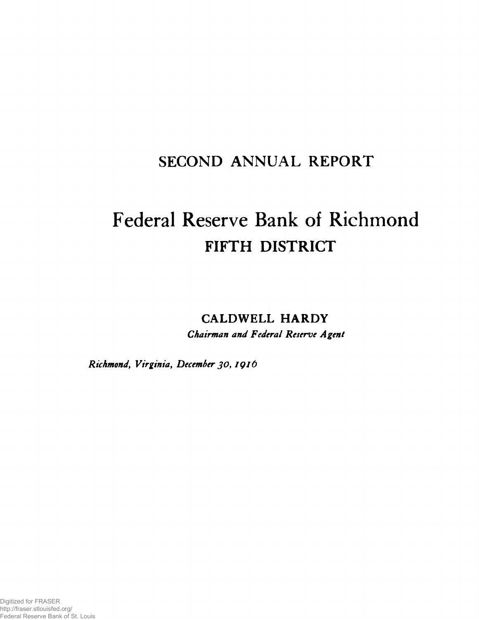# SECOND ANNUAL REPORT

# Federal Reserve Bank of Richmond FIFTH DISTRICT

CALDWELL HARDY

*Chairman and Federal Reserve Agent*

*Richmond, Virginia, December JO, IQld*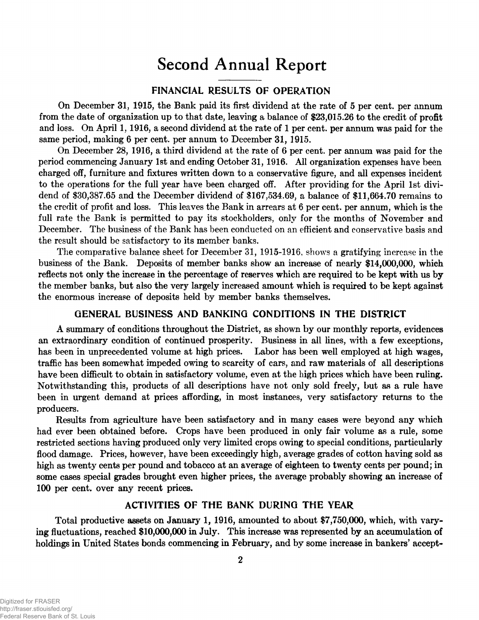# Second Annual Report

## **FINANCIAL RESULTS OF OPERATION**

On December **31, 1915,** the Bank paid its first dividend at the rate of **5** per cent, per **annum** from the date of organization up to that date, leaving a balance of **\$23,015.26** to the credit of profit and loss. On April 1, 1916, a second dividend at the rate of 1 per cent, per annum was paid for the same period, making **6** per cent, per annum to December **31, 1915.**

On December 28, 1916, a third dividend at the rate of 6 per cent, per annum was paid for the period commencing January 1st and ending October 31,1916. All organization expenses have been charged off, furniture and fixtures written down to a conservative figure, and all expenses incident to the operations for the full year have been charged off. After providing for the April 1st dividend of \$30,387.65 and the December dividend of \$167,534.69, a balance of \$11,664.70 remains to the credit of profit and loss. This leaves the Bank in arrears at 6 per cent, per annum, which is the full rate the Bank is permitted to pay its stockholders, only for the months of November and December. The business of the Bank has been conducted on an efficient and conservative basis and the result should be satisfactory to its member banks.

The comparative balance sheet for December 31, 1915-1916, shows a gratifying increase in the business of the Bank. Deposits of member banks show an increase of nearly \$14,000,000, which reflects not only the increase in the percentage of reserves which are required to be kept with us by the member banks, but also the very largely increased amount which is required to be kept against the enormous increase of deposits held by member banks themselves.

### **GENERAL BUSINESS AND BANKING CONDITIONS IN THE DISTRICT**

A summary of conditions throughout the District, as shown by our monthly reports, evidences an extraordinary condition of continued prosperity. Business in all lines, with a few exceptions, has been in unprecedented volume at high prices. Labor has been well employed at high wages, traffic has been somewhat impeded owing to scarcity of cars, and raw materials of all descriptions have been difficult to obtain in satisfactory volume, even at the high prices which have been ruling. Notwithstanding this, products of all descriptions have not only sold freely, but as a rule have been in urgent demand at prices affording, in most instances, very satisfactory returns to the producers.

Results from agriculture have been satisfactory and in many cases were beyond any which had ever been obtained before. Crops have been produced in only fair volume as a rule, some restricted sections having produced only very limited crops owing to special conditions, particularly flood damage. Prices, however, have been exceedingly high, average grades of cotton having sold as high as twenty cents per pound and tobacco at an average of eighteen to twenty cents per pound; in some cases special grades brought even higher prices, the average probably showing an increase of 100 per cent, over any recent prices.

### **ACTIVITIES OF THE BANK DURING THE YEAR**

Total productive assets on January 1, **1916,** amounted to about **\$7,750,000,** which, with varying fluctuations, reached **\$10,000,000** in July. This increase was represented by an accumulation of holdings in United States bonds commencing in February, and by some increase in bankers' accept-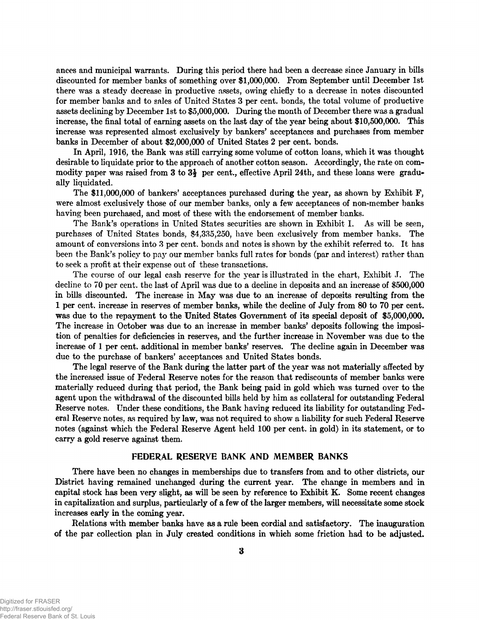ances and municipal warrants. During this period there had been a decrease since January in bills discounted for member banks of something over \$1,000,000. From September until December 1st there was a steady decrease in productive assets, owing chiefly to a decrease in notes discounted for member banks and to sales of United States 3 per cent, bonds, the total volume of productive assets declining by December 1st to \$5,000,000. During the month of December there was a gradual increase, the final total of earning assets on the last day of the year being about \$10,500,000. This increase was represented almost exclusively by bankers' acceptances and purchases from member banks in December of about \$2,000,000 of United States 2 per cent, bonds.

In April, 1916, the Bank was still carrying some volume of cotton loans, which it was thought desirable to liquidate prior to the approach of another cotton season. Accordingly, the rate on commodity paper was raised from 3 to  $3\frac{1}{2}$  per cent., effective April 24th, and these loans were gradually liquidated.

The \$11,000,000 of bankers' acceptances purchased during the year, as shown by Exhibit F, were almost exclusively those of our member banks, only a few acceptances of non-member banks having been purchased, and most of these with the endorsement of member banks.

The Bank's operations in United States securities are shown in Exhibit I. As will be seen, purchases of United States bonds, \$4,335,250, have been exclusively from member banks. The amount of conversions into 3 per cent, bonds and notes is shown by the exhibit referred to. It has been the Bank's policy to pay our member banks full rates for bonds (par and interest) rather than to seek a profit at their expense out of these transactions.

The course of our legal cash reserve for the year is illustrated in the chart, Exhibit J. The decline to 70 per cent, the last of April was due to a decline in deposits and an increase of \$500,000 in bills discounted. The increase in May was due to an increase of deposits resulting from the 1 per cent, increase in reserves of member banks, while the decline of July from 80 to 70 per cent, was due to the repayment to the United States Government of its special deposit of \$5,000,000. The increase in October was due to an increase in member banks' deposits following the imposition of penalties for deficiencies in reserves, and the further increase in November was due to the increase of 1 per cent, additional in member banks' reserves. The decline again in December was due to the purchase of bankers' acceptances and United States bonds.

The legal reserve of the Bank during the latter part of the year was not materially affected by the increased issue of Federal Reserve notes for the reason that rediscounts of member banks were materially reduced during that period, the Bank being paid in gold which was turned over to the agent upon the withdrawal of the discounted bills held by him as collateral for outstanding Federal Reserve notes. Under these conditions, the Bank having reduced its liability for outstanding Federal Reserve notes, as required by law, was not required to show a liability for such Federal Reserve notes (against which the Federal Reserve Agent held 100 per cent, in gold) in its statement, or to carry a gold reserve against them.

#### **FEDERAL RESERVE BANK AND MEMBER BANKS**

There have been no changes in memberships due to transfers from and to other districts, our District having remained unchanged during the current year. The change in members and in capital stock has been very slight, as will be seen by reference to Exhibit K. Some recent changes in capitalization and surplus, particularly of a few of the larger members, will necessitate some stock increases early in the coming year.

Relations with member banks have as a rule been cordial and satisfactory. The inauguration of the par collection plan in July created conditions in which some friction had to be adjusted.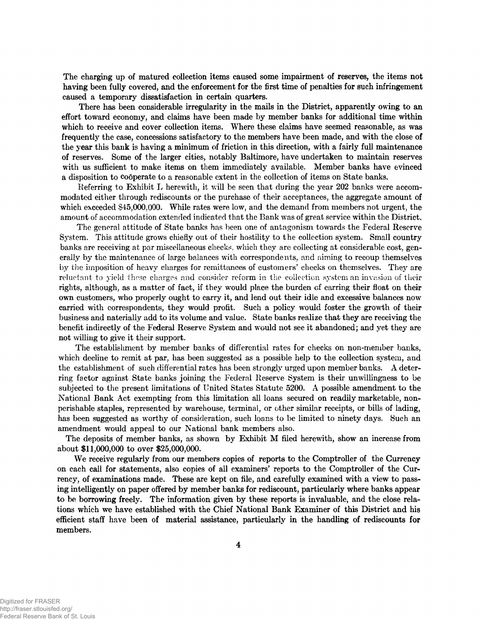The charging up of matured collection items caused some impairment of reserves, the items not having been fully covered, and the enforcement for the first time of penalties for such infringement caused a temporary dissatisfaction in certain quarters.

There has been considerable irregularity in the mails in the District, apparently owing to an effort toward economy, and claims have been made by member banks for additional time within which to receive and cover collection items. Where these claims have seemed reasonable, as was frequently the case, concessions satisfactory to the members have been made, and with the close of the year this bank is having a minimum of friction in this direction, with a fairly full maintenance of reserves. Some of the larger cities, notably Baltimore, have undertaken to maintain reserves with us sufficient to make items on them immediately available. Member banks have evinced a disposition to cooperate to a reasonable extent in the collection of items on State banks.

Referring to Exhibit L herewith, it will be seen that during the year 202 banks were accommodated either through rediscounts or the purchase of their acceptances, the aggregate amount of which exceeded \$45,000,000. While rates were low, and the demand from members not urgent, the amount of accommodation extended indicated that the Bank was of great service within the District.

The general attitude of State banks has been one of antagonism towards the Federal Reserve System. This attitude grows chiefly out of their hostility to the collection system. Small country banks are receiving at par miscellaneous checks, which they are collecting at considerable cost, generally by the maintenance of large balances with correspondents, and aiming to recoup themselves by the imposition of heavy charges for remittances of customers' checks on themselves. They are reluctant to yield these charges and consider reform in the collection system an invasion of their rights, although, as a matter of fact, if they would place the burden of earring their float on their own customers, who properly ought to carry it, and lend out their idle and excessive balances now carried with correspondents, they would profit. Such a policy would foster the growth of their business and naterially add to its volume and value. State banks realize that they are receiving the benefit indirectly of the Federal Reserve System and would not see it abandoned; and yet they are not willing to give it their support.

The establishment by member banks of differential rates for checks on non-member banks, which decline to remit at par, has been suggested as a possible help to the collection system, and the establishment of such differential rates has been strongly urged upon member banks. A deterring factor against State banks joining the Federal Reserve System is their unwillingness to be subjected to the present limitations of United States Statute 5200. A possible amendment to the National Bank Act exempting from this limitation all loans secured on readily marketable, nonperishable staples, represented by warehouse, terminal, or other similar receipts, or bills of lading, has been suggested as worthy of consideration, such loans to be limited to ninety days. Such an amendment would appeal to our National bank members also.

The deposits of member banks, as shown by Exhibit M filed herewith, show an increase from about \$11,000,000 to over \$25,000,000.

We receive regularly from our members copies of reports to the Comptroller of the Currency on cach call for statements, also copies of all examiners' reports to the Comptroller of the Currency, of examinations made. These are kept on file, and carefully examined with a view to passing intelligently on paper offered by member banks for rediscount, particularly where banks appear to be borrowing freely. The information given by these reports is invaluable, and the close relations which we have established with the Chief National Bank Examiner of this District and his efficient staff have been of material assistance, particularly in the handling of rediscounts for members.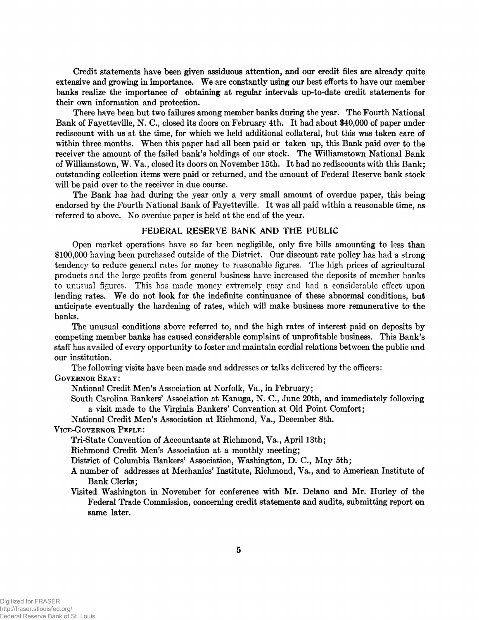Credit statements have been given assiduous attention, and our credit files are already quite extensive and growing in importance. We are constantly using our best efforts to have our member banks realize the importance of obtaining at regular intervals up-to-date credit statements for their own information and protection.

There have been but two failures among member banks during the year. The Fourth National Bank of Fayetteville, N. C., closed its doors on February 4th. It had about \$40,000 of paper under rediscount with us at the time, for which we held additional collateral, but this was taken care of within three months. When this paper had all been paid or taken up, this Bank paid over to the receiver the amount of the failed bank's holdings of our stock. The Williamstown National Bank of Williamstown, W. Va., closed its doors on November 15th. It had no rediscounts with this Bank; outstanding collection items were paid or returned, and the amount of Federal Reserve bank stock will be paid over to the receiver in due course.

The Bank has had during the year only a very small amount of overdue paper, this being endorsed by the Fourth National Bank of Fayetteville. It was all paid within a reasonable time, as referred to above. No overdue paper is held at the end of the year.

#### FEDERAL RESERVE BANK AND THE PUBLIC

Open market operations have so far been negligible, only five bills amounting to less than §100,000 having been purchased outside of the District. Our discount rate policy has had a strong tendency to reduce general rates for money to reasonable figures. The high prices of agricultural products and the large profits from general business have increased the deposits of member banks to unusual figures. This has made money extremely easy and had a considerable effect upon lending rates. We do not look for the indefinite continuance of these abnormal conditions, but anticipate eventually the hardening of rates, which will make business more remunerative to the banks.

The unusual conditions above referred to, and the high rates of interest paid on deposits by competing member banks has caused considerable complaint of unprofitable business. This Bank's staff has availed of every opportunity to foster and maintain cordial relations between the public and our institution.

The following visits have been made and addresses or talks delivered by the officers:

**G overnor Se a y :**

National Credit Men's Association at Norfolk, Va., in February;

South Carolina Bankers' Association at Kanuga, N. C., June 20th, and immediately following a visit made to the Virginia Bankers' Convention at Old Point Comfort;

National Credit Men's Association at Richmond, Va., December 8th.

#### **V ice-G overnor Pe p l e :**

Tri-State Convention of Accountants at Richmond, Va., April 13th;

Richmond Credit Men's Association at a monthly meeting;

District of Columbia Bankers' Association, Washington, D. C., May 5th;

- A number of addresses at Mechanics' Institute, Richmond, Va., and to American Institute of Bank Clerks;
- Visited Washington in November for conference with Mr. Delano and Mr. Hurley of the Federal Trade Commission, concerning credit statements and audits, submitting report on same later.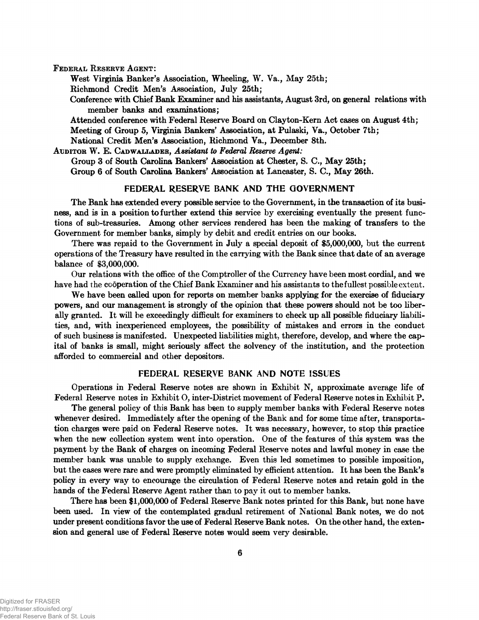FEDERAL RESERVE AGENT:

West Virginia Banker's Association, Wheeling, W. Va., May 25th;

Richmond Credit Men's Association, July 25th;

Conference with Chief Bank Examiner and his assistants, August 3rd, on general relations with member banks and examinations;

Attended conference with Federal Reserve Board on Clayton-Kern Act cases on August 4 th; Meeting of Group 5, Virginia Bankers' Association, at Pulaski, Va., October 7th;

National Credit Men's Association, Richmond Va., December 8th.

AUDITOR W. E. CADWALLADER, Assistant to Federal Reserve Agent: Group 3 of South Carolina Bankers' Association at Chester, S. C., May 25th; Group 6 of South Carolina Bankers' Association at Lancaster, S. C., May 26th.

#### **FEDERAL RESERVE BANK AND THE GOVERNMENT**

The Bank has extended every possible service to the Government, in the transaction of its business, and is in a position to further extend this service by exercising eventually the present functions of sub-treasuries. Among other services rendered has been the making of transfers to the Government for member banks, simply by debit and credit entries on our books.

There was repaid to the Government in July a special deposit of \$5,000,000, but the current operations of the Treasury have resulted in the carrying with the Bank since that date of an average balance of \$3,000,000.

Our relations with the office of the Comptroller of the Currency have been most cordial, and we have had the cooperation of the Chief Bank Examiner and his assistants to the fullest possible extent.

We have been called upon for reports on member banks applying for the exercise of fiduciary powers, and our management is strongly of the opinion that these powers should not be too liberally granted. It will be exceedingly difficult for examiners to check up all possible fiduciary liabilities, and, with inexperienced employees, the possibility of mistakes and errors in the conduct of such business is manifested. Unexpected liabilities might, therefore, develop, and where the capital of banks is small, might seriously affect the solvency of the institution, and the protection afforded to commercial and other depositors.

#### **FEDERAL RESERVE BANK AND NOTE ISSUES**

Operations in Federal Reserve notes are shown in Exhibit N, approximate average life of Federal Reserve notes in Exhibit O, inter-District movement of Federal Reserve notes in Exhibit P.

The general policy of this Bank has been to supply member banks with Federal Reserve notes whenever desired. Immediately after the opening of the Bank and for some time after, transportation charges were paid on Federal Reserve notes. It was necessary, however, to stop this practice when the new collection system went into operation. One of the features of this system was the payment by the Bank of charges on incoming Federal Reserve notes and lawful money in case the member bank was unable to supply exchange. Even this led sometimes to possible imposition, but the cases were rare and were promptly eliminated by efficient attention. It has been the Bank's policy in every way to encourage the circulation of Federal Reserve notes and retain gold in the hands of the Federal Reserve Agent rather than to pay it out to member banks.

There has been \$1,000,000 of Federal Reserve Bank notes printed for this Bank, but none have been used. In view of the contemplated gradual retirement of National Bank notes, we do not under present conditions favor the use of Federal Reserve Bank notes. On the other hand, the extension and general use of Federal Reserve notes would seem very desirable.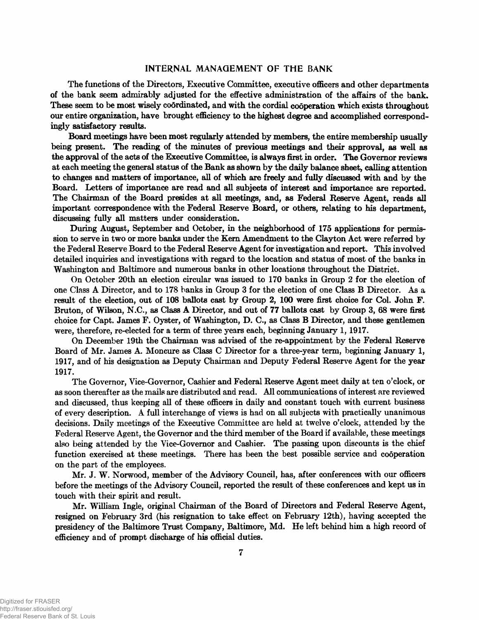#### INTERNAL MANAGEMENT OF THE BANK

The functions of the Directors, Executive Committee, executive officers and other departments of the bank seem admirably adjusted for the effective administration of the affairs of the bank. These seem to be most wisely coordinated, and with the cordial cooperation which exists throughout our entire organization, have brought efficiency to the highest degree and accomplished correspondingly satisfactory results.

Board meetings have been most regularly attended by members, the entire membership usually being present. The reading of the minutes of previous meetings and their approval, as well as the approval of the acts of the Executive Committee, is always first in order. The Governor reviews at each meeting the general status of the Bank as shown by the daily balance sheet, calling attention to changes and matters of importance, all of which are freely and fully discussed with and by the Board. Letters of importance are read and all subjects of interest and importance are reported. The Chairman of the Board presides at all meetings, and, as Federal Reserve Agent, reads all important correspondence with the Federal Reserve Board, or others, relating to his department, discussing fully all matters under consideration.

During August, September and October, in the neighborhood of 175 applications for permission to serve in two or more banks under the Kem Amendment to the Clayton Act were referred by the Federal Reserve Board to the Federal Reserve Agent for investigation and report. This involved detailed inquiries and investigations with regard to the location and status of most of the banks in Washington and Baltimore and numerous banks in other locations throughout the District.

On October 20th an election circular was issued to 170 banks in Group 2 for the election of one Class A Director, and to 178 banks in Group 3 for the election of one Class B Director. As a result of the election, out of 108 ballots cast by Group 2, 100 were first choice for Col. John F. Bruton, of Wilson, N.C., as Class A Director, and out of 77 ballots cast by Group 3, 68 were first choice for Capt. James F. Oyster, of Washington, D. C., as Class B Director, and these gentlemen were, therefore, re-elected for a term of three years each, beginning January 1,1917.

On December 19th the Chairman was advised of the re-appointment by the Federal Reserve Board of Mr. James A. Moncure as Class C Director for a three-year term, beginning January 1, 1917, and of his designation as Deputy Chairman and Deputy Federal Reserve Agent for the year 1917.

The Governor, Vice-Governor, Cashier and Federal Reserve Agent meet daily at ten o'clock, or as soon thereafter as the mails are distributed and read. All communications of interest are reviewed and discussed, thus keeping all of these officers in daily and constant touch with current business of every description. A full interchange of views is had on all subjects with practically unanimous decisions. Daily meetings of the Executive Committee are held at twelve o'clock, attended by the Federal Reserve Agent, the Governor and the third member of the Board if available, these meetings also being attended by the Vice-Governor and Cashier. The passing upon discounts is the chief function exercised at these meetings. There has been the best possible service and cooperation on the part of the employees.

Mr. J. W. Norwood, member of the Advisory Council, has, after conferences with our officers before the meetings of the Advisory Council, reported the result of these conferences and kept us in touch with their spirit and result.

Mr. William Ingle, original **Chairman** of the Board of Directors and Federal Reserve Agent, resigned on February 3rd (his resignation to take effect on February 12th), having accepted the presidency of the Baltimore Trust Company, Baltimore, Md. He left behind him a high record of efficiency and of prompt discharge of his official duties.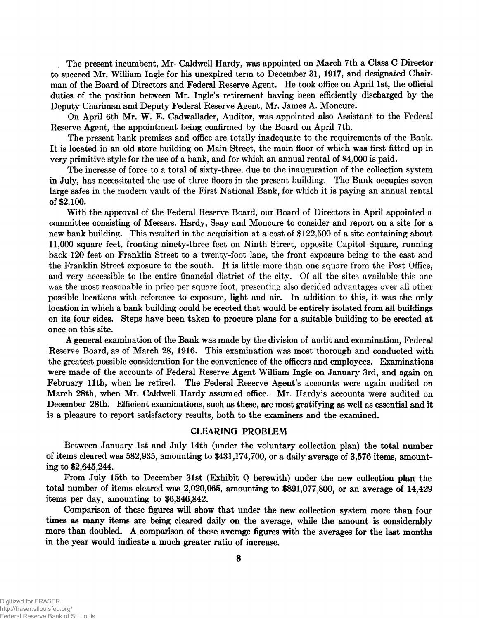The present incumbent, Mr- Caldwell Hardy, was appointed on March 7th a Class C Director to succeed Mr. William Ingle for his unexpired term to December 31, 1917, and designated Chairman of the Board of Directors and Federal Reserve Agent. He took office on April 1st, the official duties of the position between Mr. Ingle's retirement having been efficiently discharged by the Deputy Chariman and Deputy Federal Reserve Agent, Mr. James A. Moncure.

On April 6th Mr. W. E. Cadwallader, Auditor, was appointed also Assistant to the Federal Reserve Agent, the appointment being confirmed by the Board on April 7th.

The present bank premises and office are totally inadequate to the requirements of the Bank. It is located in an old store building on Main Street, the main floor of which was first fitted up in very primitive style for the use of a bank, and for which an annual rental of \$4,000 is paid.

The increase of force to a total of sixty-three, due to the inauguration of the collection system in July, has necessitated the use of three floors in the present building. The Bank occupies seven large safes in the modern vault of the First National Bank, for which it is paying an annual rental of \$2,100.

With the approval of the Federal Reserve Board, our Board of Directors in April appointed a committee consisting of Messers. Hardy, Seay and Moncure to consider and report on a site for a new bank building. This resulted in the acquisition at a cost of \$122,500 of a site containing about 11,000 square feet, fronting ninety-three feet on Ninth Street, opposite Capitol Square, running back 120 feet on Franklin Street to a twenty-foot lane, the front exposure being to the east and the Franklin Street exposure to the south. It is little more than one square from the Post Office, and very accessible to the entire financial district of the city. Of all the sites available this one was the most reasonable in price per square foot, presenting also decided advantages over all other possible locations with reference to exposure, light and air. In addition to this, it was the only location in which a bank building could be erected that would be entirely isolated from all buildings on its four sides. Steps have been taken to procure plans for a suitable building to be erected at once on this site.

A general examination of the Bank was made by the division of audit and examination, Federal Reserve Board, as of March 28, 1916. This examination was most thorough and conducted with the greatest possible consideration for the convenience of the officers and employees. Examinations were made of the accounts of Federal Reserve Agent William Ingle on January 3rd, and again on February 11th, when he retired. The Federal Reserve Agent's accounts were again audited on March 28th, when Mr. Caldwell Hardy assumed office. Mr. Hardy's accounts were audited on December 28th. Efficient examinations, such as these, are most gratifying as well as essential and it is a pleasure to report satisfactory results, both to the examiners and the examined.

#### CLEARING PROBLEM

Between January 1st and July 14th (under the voluntary collection plan) the total number of items cleared was 582,935, amounting to \$431,174,700, or a daily average of 3,576 items, amounting to \$2,645,244.

From July 15th to December 31st (Exhibit Q herewith) under the new collection plan the total number of items cleared was 2,020,065, amounting to \$891,077,800, or an average of 14,429 items per day, amounting to \$6,346,842.

Comparison of these figures will show that under the new collection system more than four times as many items are being cleared daily on the average, while the amount is considerably more than doubled. A comparison of these average figures with the averages for the last months in the year would indicate a much greater ratio of increase.

**8**